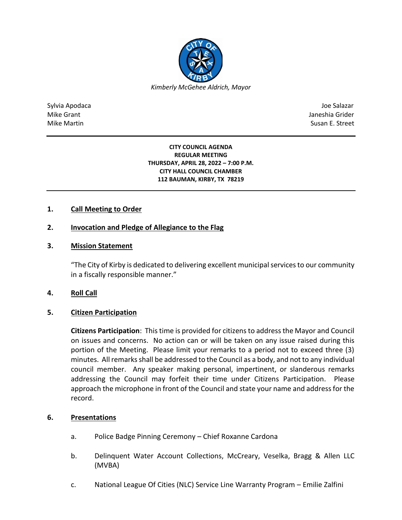

Sylvia Apodaca Joe Salazar Joe Salazar Joe Salazar Joe Salazar Joe Salazar Joe Salazar Joe Salazar Joe Salazar Mike Grant Janeshia Grider Mike Martin Susan E. Street

> **CITY COUNCIL AGENDA REGULAR MEETING THURSDAY, APRIL 28, 2022 – 7:00 P.M. CITY HALL COUNCIL CHAMBER 112 BAUMAN, KIRBY, TX 78219**

# **1. Call Meeting to Order**

## **2. Invocation and Pledge of Allegiance to the Flag**

# **3. Mission Statement**

"The City of Kirby is dedicated to delivering excellent municipal services to our community in a fiscally responsible manner."

### **4. Roll Call**

### **5. Citizen Participation**

**Citizens Participation**: This time is provided for citizens to address the Mayor and Council on issues and concerns. No action can or will be taken on any issue raised during this portion of the Meeting. Please limit your remarks to a period not to exceed three (3) minutes. All remarks shall be addressed to the Council as a body, and not to any individual council member. Any speaker making personal, impertinent, or slanderous remarks addressing the Council may forfeit their time under Citizens Participation. Please approach the microphone in front of the Council and state your name and address for the record.

#### **6. Presentations**

- a. Police Badge Pinning Ceremony Chief Roxanne Cardona
- b. Delinquent Water Account Collections, McCreary, Veselka, Bragg & Allen LLC (MVBA)
- c. National League Of Cities (NLC) Service Line Warranty Program Emilie Zalfini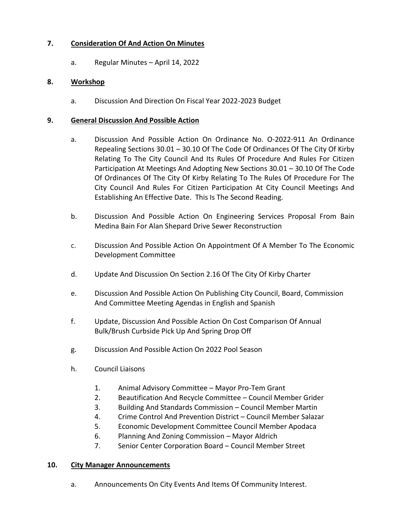# **7. Consideration Of And Action On Minutes**

a. Regular Minutes – April 14, 2022

### **8. Workshop**

a. Discussion And Direction On Fiscal Year 2022-2023 Budget

### **9. General Discussion And Possible Action**

- a. Discussion And Possible Action On Ordinance No. O-2022-911 An Ordinance Repealing Sections 30.01 – 30.10 Of The Code Of Ordinances Of The City Of Kirby Relating To The City Council And Its Rules Of Procedure And Rules For Citizen Participation At Meetings And Adopting New Sections 30.01 – 30.10 Of The Code Of Ordinances Of The City Of Kirby Relating To The Rules Of Procedure For The City Council And Rules For Citizen Participation At City Council Meetings And Establishing An Effective Date. This Is The Second Reading.
- b. Discussion And Possible Action On Engineering Services Proposal From Bain Medina Bain For Alan Shepard Drive Sewer Reconstruction
- c. Discussion And Possible Action On Appointment Of A Member To The Economic Development Committee
- d. Update And Discussion On Section 2.16 Of The City Of Kirby Charter
- e. Discussion And Possible Action On Publishing City Council, Board, Commission And Committee Meeting Agendas in English and Spanish
- f. Update, Discussion And Possible Action On Cost Comparison Of Annual Bulk/Brush Curbside Pick Up And Spring Drop Off
- g. Discussion And Possible Action On 2022 Pool Season
- h. Council Liaisons
	- 1. Animal Advisory Committee Mayor Pro-Tem Grant
	- 2. Beautification And Recycle Committee Council Member Grider
	- 3. Building And Standards Commission Council Member Martin
	- 4. Crime Control And Prevention District Council Member Salazar
	- 5. Economic Development Committee Council Member Apodaca
	- 6. Planning And Zoning Commission Mayor Aldrich
	- 7. Senior Center Corporation Board Council Member Street

### **10. City Manager Announcements**

a. Announcements On City Events And Items Of Community Interest.